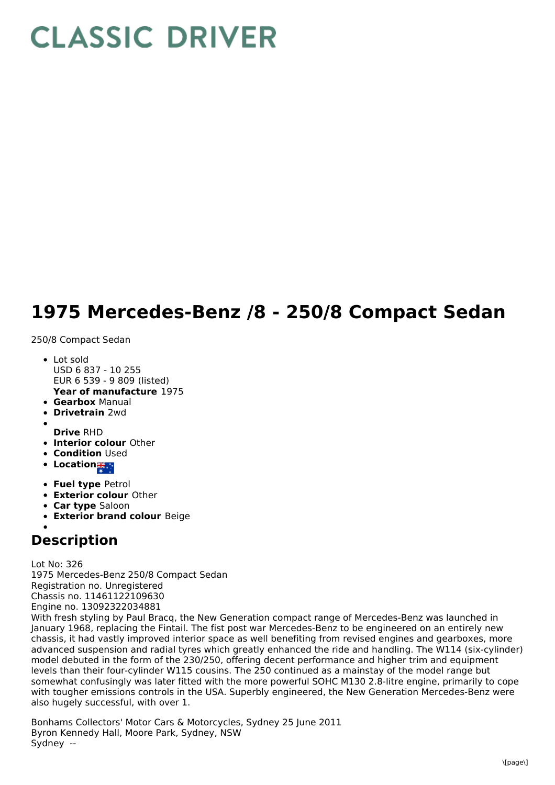## **CLASSIC DRIVER**

## **1975 Mercedes-Benz /8 - 250/8 Compact Sedan**

250/8 Compact Sedan

- **Year of manufacture** 1975 • Lot sold USD 6 837 - 10 255 EUR 6 539 - 9 809 (listed)
- **Gearbox** Manual
- **Drivetrain** 2wd
- **Drive** RHD
- **Interior colour** Other
- **Condition Used**
- **Location # 1**
- **Fuel type** Petrol
- **Exterior colour** Other
- **Car type** Saloon
- **Exterior brand colour** Beige

## **Description**

Lot No: 326 1975 Mercedes-Benz 250/8 Compact Sedan Registration no. Unregistered Chassis no. 11461122109630 Engine no. 13092322034881

With fresh styling by Paul Bracq, the New Generation compact range of Mercedes-Benz was launched in January 1968, replacing the Fintail. The fist post war Mercedes-Benz to be engineered on an entirely new chassis, it had vastly improved interior space as well benefiting from revised engines and gearboxes, more advanced suspension and radial tyres which greatly enhanced the ride and handling. The W114 (six-cylinder) model debuted in the form of the 230/250, offering decent performance and higher trim and equipment levels than their four-cylinder W115 cousins. The 250 continued as a mainstay of the model range but somewhat confusingly was later fitted with the more powerful SOHC M130 2.8-litre engine, primarily to cope with tougher emissions controls in the USA. Superbly engineered, the New Generation Mercedes-Benz were also hugely successful, with over 1.

Bonhams Collectors' Motor Cars & Motorcycles, Sydney 25 June 2011 Byron Kennedy Hall, Moore Park, Sydney, NSW Sydney --